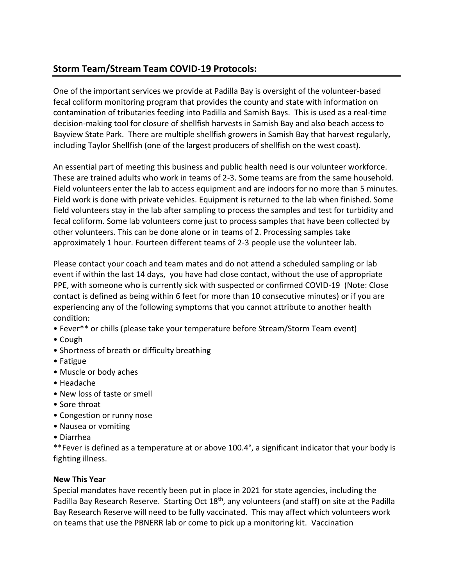# **Storm Team/Stream Team COVID-19 Protocols:**

One of the important services we provide at Padilla Bay is oversight of the volunteer-based fecal coliform monitoring program that provides the county and state with information on contamination of tributaries feeding into Padilla and Samish Bays. This is used as a real-time decision-making tool for closure of shellfish harvests in Samish Bay and also beach access to Bayview State Park. There are multiple shellfish growers in Samish Bay that harvest regularly, including Taylor Shellfish (one of the largest producers of shellfish on the west coast).

An essential part of meeting this business and public health need is our volunteer workforce. These are trained adults who work in teams of 2-3. Some teams are from the same household. Field volunteers enter the lab to access equipment and are indoors for no more than 5 minutes. Field work is done with private vehicles. Equipment is returned to the lab when finished. Some field volunteers stay in the lab after sampling to process the samples and test for turbidity and fecal coliform. Some lab volunteers come just to process samples that have been collected by other volunteers. This can be done alone or in teams of 2. Processing samples take approximately 1 hour. Fourteen different teams of 2-3 people use the volunteer lab.

Please contact your coach and team mates and do not attend a scheduled sampling or lab event if within the last 14 days, you have had close contact, without the use of appropriate PPE, with someone who is currently sick with suspected or confirmed COVID-19 (Note: Close contact is defined as being within 6 feet for more than 10 consecutive minutes) or if you are experiencing any of the following symptoms that you cannot attribute to another health condition:

- Fever\*\* or chills (please take your temperature before Stream/Storm Team event)
- Cough
- Shortness of breath or difficulty breathing
- Fatigue
- Muscle or body aches
- Headache
- New loss of taste or smell
- Sore throat
- Congestion or runny nose
- Nausea or vomiting
- Diarrhea

\*\*Fever is defined as a temperature at or above 100.4°, a significant indicator that your body is fighting illness.

#### **New This Year**

Special mandates have recently been put in place in 2021 for state agencies, including the Padilla Bay Research Reserve. Starting Oct 18<sup>th</sup>, any volunteers (and staff) on site at the Padilla Bay Research Reserve will need to be fully vaccinated. This may affect which volunteers work on teams that use the PBNERR lab or come to pick up a monitoring kit. Vaccination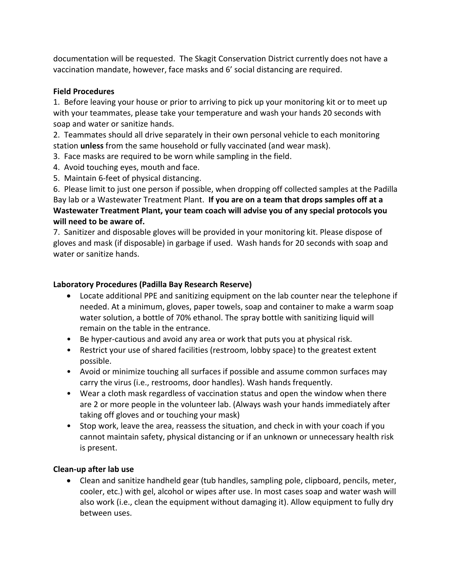documentation will be requested. The Skagit Conservation District currently does not have a vaccination mandate, however, face masks and 6' social distancing are required.

### **Field Procedures**

1. Before leaving your house or prior to arriving to pick up your monitoring kit or to meet up with your teammates, please take your temperature and wash your hands 20 seconds with soap and water or sanitize hands.

2. Teammates should all drive separately in their own personal vehicle to each monitoring station **unless** from the same household or fully vaccinated (and wear mask).

- 3. Face masks are required to be worn while sampling in the field.
- 4. Avoid touching eyes, mouth and face.
- 5. Maintain 6-feet of physical distancing.

6. Please limit to just one person if possible, when dropping off collected samples at the Padilla Bay lab or a Wastewater Treatment Plant. **If you are on a team that drops samples off at a Wastewater Treatment Plant, your team coach will advise you of any special protocols you will need to be aware of.** 

7. Sanitizer and disposable gloves will be provided in your monitoring kit. Please dispose of gloves and mask (if disposable) in garbage if used. Wash hands for 20 seconds with soap and water or sanitize hands.

## **Laboratory Procedures (Padilla Bay Research Reserve)**

- Locate additional PPE and sanitizing equipment on the lab counter near the telephone if needed. At a minimum, gloves, paper towels, soap and container to make a warm soap water solution, a bottle of 70% ethanol. The spray bottle with sanitizing liquid will remain on the table in the entrance.
- Be hyper-cautious and avoid any area or work that puts you at physical risk.
- Restrict your use of shared facilities (restroom, lobby space) to the greatest extent possible.
- Avoid or minimize touching all surfaces if possible and assume common surfaces may carry the virus (i.e., restrooms, door handles). Wash hands frequently.
- Wear a cloth mask regardless of vaccination status and open the window when there are 2 or more people in the volunteer lab. (Always wash your hands immediately after taking off gloves and or touching your mask)
- Stop work, leave the area, reassess the situation, and check in with your coach if you cannot maintain safety, physical distancing or if an unknown or unnecessary health risk is present.

# **Clean-up after lab use**

• Clean and sanitize handheld gear (tub handles, sampling pole, clipboard, pencils, meter, cooler, etc.) with gel, alcohol or wipes after use. In most cases soap and water wash will also work (i.e., clean the equipment without damaging it). Allow equipment to fully dry between uses.